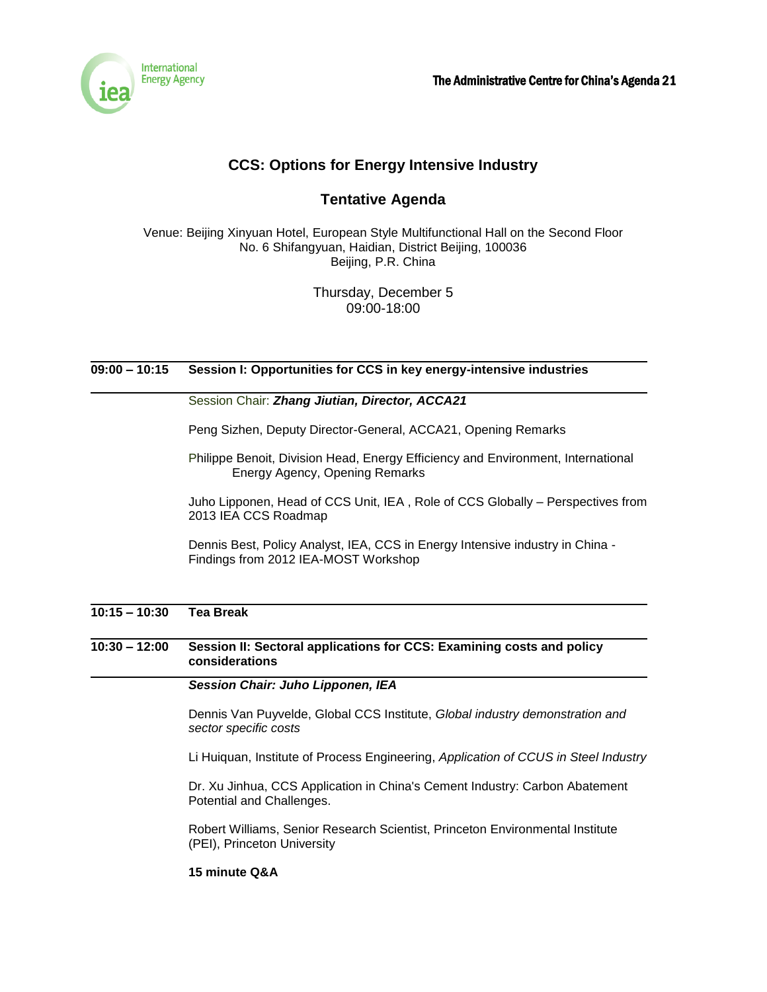

# **CCS: Options for Energy Intensive Industry**

# **Tentative Agenda**

Venue: Beijing Xinyuan Hotel, European Style Multifunctional Hall on the Second Floor No. 6 Shifangyuan, Haidian, District Beijing, 100036 Beijing, P.R. China

> Thursday, December 5 09:00-18:00

# **09:00 – 10:15 Session I: Opportunities for CCS in key energy-intensive industries**

### Session Chair: *Zhang Jiutian, Director, ACCA21*

Peng Sizhen, Deputy Director-General, ACCA21, Opening Remarks

Philippe Benoit, Division Head, Energy Efficiency and Environment, International Energy Agency, Opening Remarks

Juho Lipponen, Head of CCS Unit, IEA , Role of CCS Globally – Perspectives from 2013 IEA CCS Roadmap

Dennis Best, Policy Analyst, IEA, CCS in Energy Intensive industry in China - Findings from 2012 IEA-MOST Workshop

# **10:15 – 10:30 Tea Break**

**10:30 – 12:00 Session II: Sectoral applications for CCS: Examining costs and policy considerations**

#### *Session Chair: Juho Lipponen, IEA*

Dennis Van Puyvelde, Global CCS Institute, *Global industry demonstration and sector specific costs*

Li Huiquan, Institute of Process Engineering, *Application of CCUS in Steel Industry*

Dr. Xu Jinhua, CCS Application in China's Cement Industry: Carbon Abatement Potential and Challenges.

Robert Williams, Senior Research Scientist, Princeton Environmental Institute (PEI), Princeton University

#### **15 minute Q&A**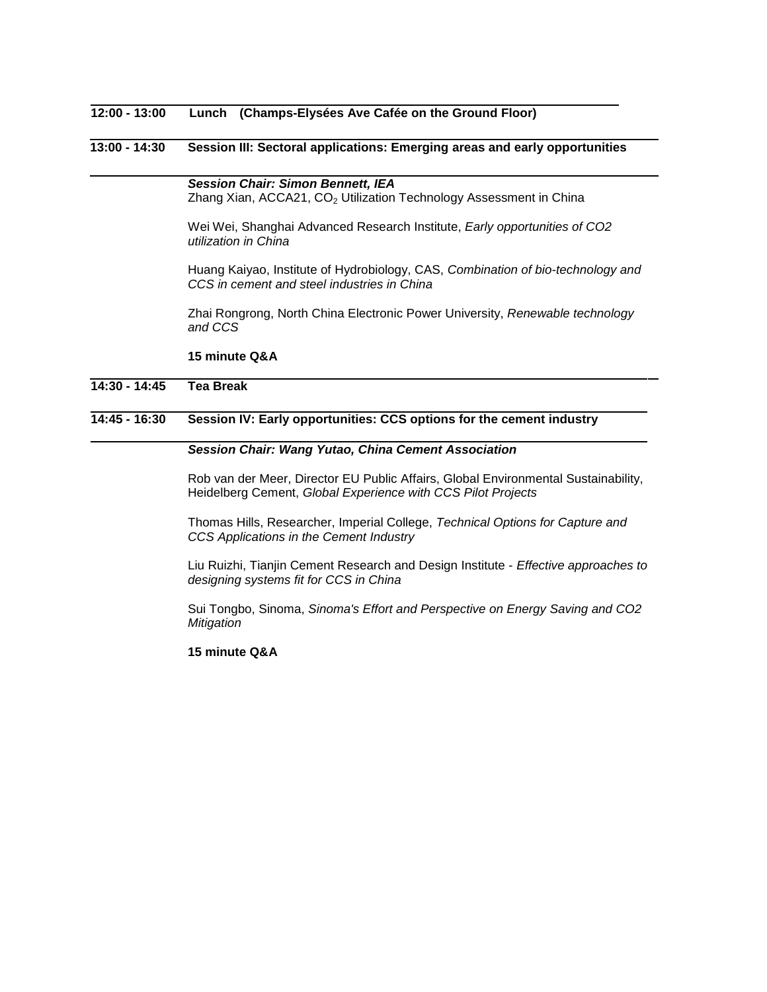# **12:00 - 13:00 Lunch (Champs-Elysées Ave Cafée on the Ground Floor)**

### **13:00 - 14:30 Session III: Sectoral applications: Emerging areas and early opportunities**

*Session Chair: Simon Bennett, IEA* Zhang Xian, ACCA21, CO<sub>2</sub> Utilization Technology Assessment in China

Wei Wei, Shanghai Advanced Research Institute, *Early opportunities of CO2 utilization in China*

Huang Kaiyao, Institute of Hydrobiology, CAS, *Combination of bio-technology and CCS in cement and steel industries in China*

Zhai Rongrong, North China Electronic Power University, *Renewable technology and CCS* 

#### **15 minute Q&A**

### **14:30 - 14:45 Tea Break**

#### **14:45 - 16:30 Session IV: Early opportunities: CCS options for the cement industry**

#### *Session Chair: Wang Yutao, China Cement Association*

Rob van der Meer, Director EU Public Affairs, Global Environmental Sustainability, Heidelberg Cement, *Global Experience with CCS Pilot Projects*

Thomas Hills, Researcher, Imperial College, *Technical Options for Capture and CCS Applications in the Cement Industry* 

Liu Ruizhi, Tianjin Cement Research and Design Institute - *Effective approaches to designing systems fit for CCS in China*

Sui Tongbo, Sinoma, *Sinoma's Effort and Perspective on Energy Saving and CO2 Mitigation*

#### **15 minute Q&A**